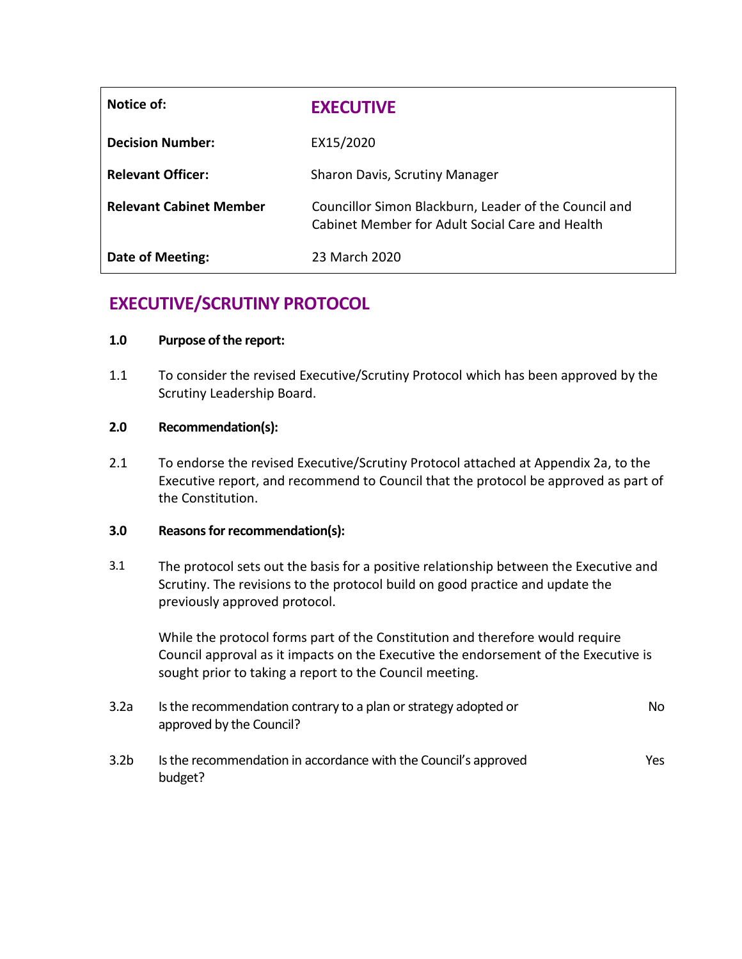| Notice of:                     | <b>EXECUTIVE</b>                                                                                         |
|--------------------------------|----------------------------------------------------------------------------------------------------------|
| <b>Decision Number:</b>        | EX15/2020                                                                                                |
| <b>Relevant Officer:</b>       | Sharon Davis, Scrutiny Manager                                                                           |
| <b>Relevant Cabinet Member</b> | Councillor Simon Blackburn, Leader of the Council and<br>Cabinet Member for Adult Social Care and Health |
| Date of Meeting:               | 23 March 2020                                                                                            |

# **EXECUTIVE/SCRUTINY PROTOCOL**

# **1.0 Purpose of the report:**

1.1 To consider the revised Executive/Scrutiny Protocol which has been approved by the Scrutiny Leadership Board.

# **2.0 Recommendation(s):**

2.1 To endorse the revised Executive/Scrutiny Protocol attached at Appendix 2a, to the Executive report, and recommend to Council that the protocol be approved as part of the Constitution.

### **3.0 Reasons for recommendation(s):**

3.1 The protocol sets out the basis for a positive relationship between the Executive and Scrutiny. The revisions to the protocol build on good practice and update the previously approved protocol.

While the protocol forms part of the Constitution and therefore would require Council approval as it impacts on the Executive the endorsement of the Executive is sought prior to taking a report to the Council meeting.

| 3.2a | Is the recommendation contrary to a plan or strategy adopted or | No. |
|------|-----------------------------------------------------------------|-----|
|      | approved by the Council?                                        |     |

3.2b Is the recommendation in accordance with the Council's approved budget? Yes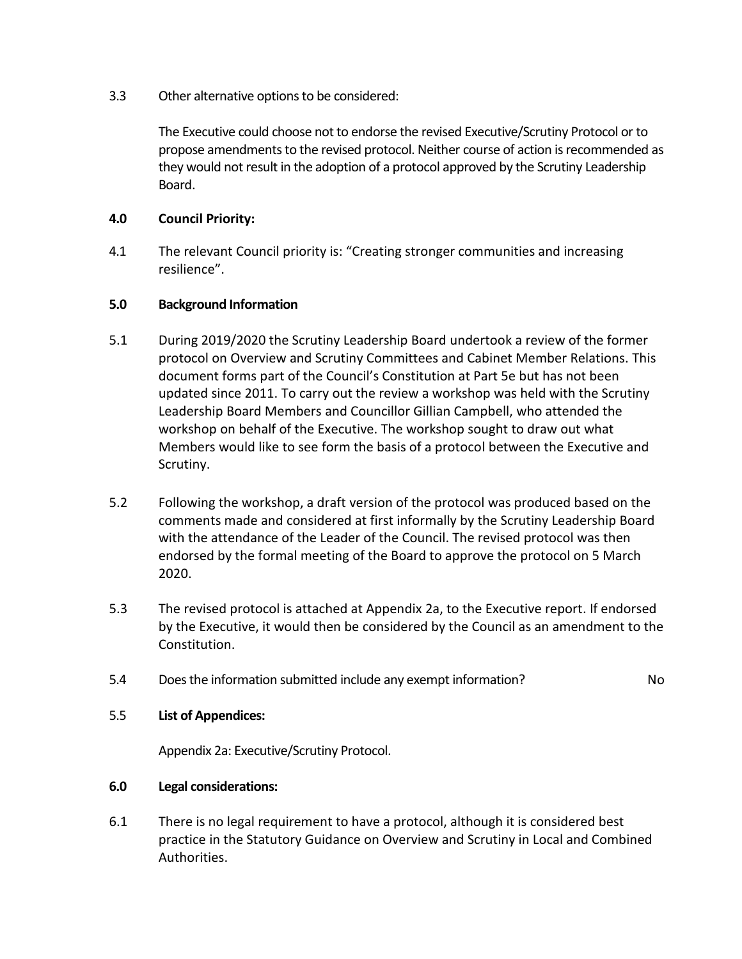3.3 Other alternative options to be considered:

The Executive could choose not to endorse the revised Executive/Scrutiny Protocol or to propose amendments to the revised protocol. Neither course of action is recommended as they would not result in the adoption of a protocol approved by the Scrutiny Leadership Board.

# **4.0 Council Priority:**

4.1 The relevant Council priority is: "Creating stronger communities and increasing resilience".

### **5.0 Background Information**

- 5.1 During 2019/2020 the Scrutiny Leadership Board undertook a review of the former protocol on Overview and Scrutiny Committees and Cabinet Member Relations. This document forms part of the Council's Constitution at Part 5e but has not been updated since 2011. To carry out the review a workshop was held with the Scrutiny Leadership Board Members and Councillor Gillian Campbell, who attended the workshop on behalf of the Executive. The workshop sought to draw out what Members would like to see form the basis of a protocol between the Executive and Scrutiny.
- 5.2 Following the workshop, a draft version of the protocol was produced based on the comments made and considered at first informally by the Scrutiny Leadership Board with the attendance of the Leader of the Council. The revised protocol was then endorsed by the formal meeting of the Board to approve the protocol on 5 March 2020.
- 5.3 The revised protocol is attached at Appendix 2a, to the Executive report. If endorsed by the Executive, it would then be considered by the Council as an amendment to the Constitution.
- 5.4 Does the information submitted include any exempt information? No

### 5.5 **List of Appendices:**

Appendix 2a: Executive/Scrutiny Protocol.

### **6.0 Legal considerations:**

6.1 There is no legal requirement to have a protocol, although it is considered best practice in the Statutory Guidance on Overview and Scrutiny in Local and Combined Authorities.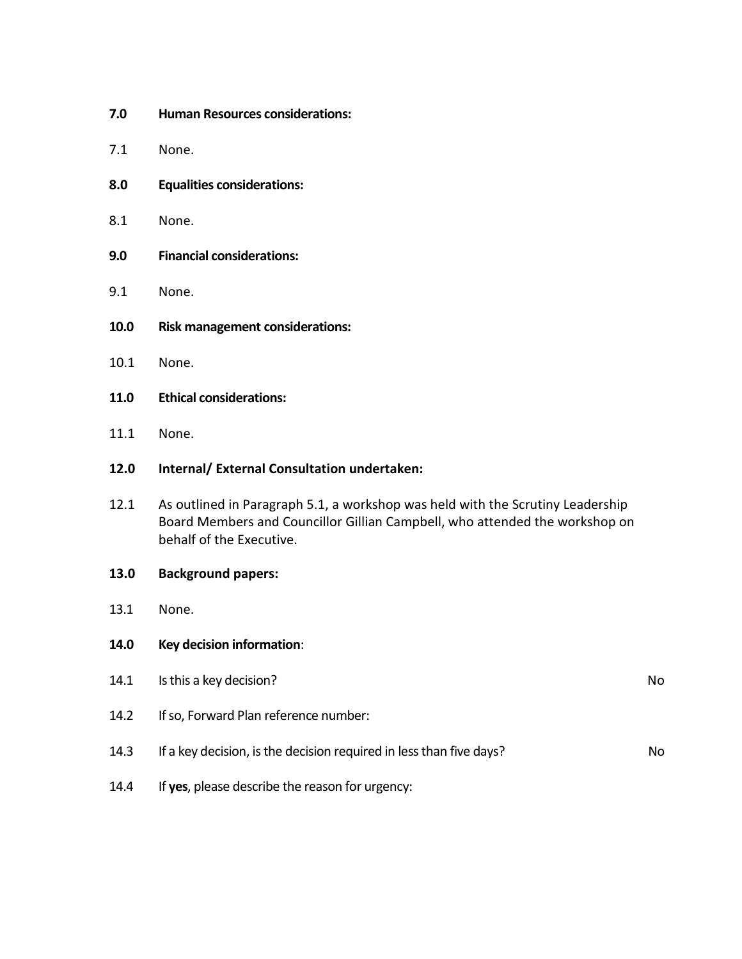- **7.0 Human Resources considerations:**
- 7.1 None.
- **8.0 Equalities considerations:**
- 8.1 None.
- **9.0 Financial considerations:**
- 9.1 None.
- **10.0 Risk management considerations:**
- 10.1 None.
- **11.0 Ethical considerations:**
- 11.1 None.

### **12.0 Internal/ External Consultation undertaken:**

- 12.1 As outlined in Paragraph 5.1, a workshop was held with the Scrutiny Leadership Board Members and Councillor Gillian Campbell, who attended the workshop on behalf of the Executive.
- **13.0 Background papers:**
- 13.1 None.
- **14.0 Key decision information**:

| 14.1 | Is this a key decision?                                             | No. |
|------|---------------------------------------------------------------------|-----|
| 14.2 | If so, Forward Plan reference number:                               |     |
| 14.3 | If a key decision, is the decision required in less than five days? | No. |
| 14.4 | If yes, please describe the reason for urgency:                     |     |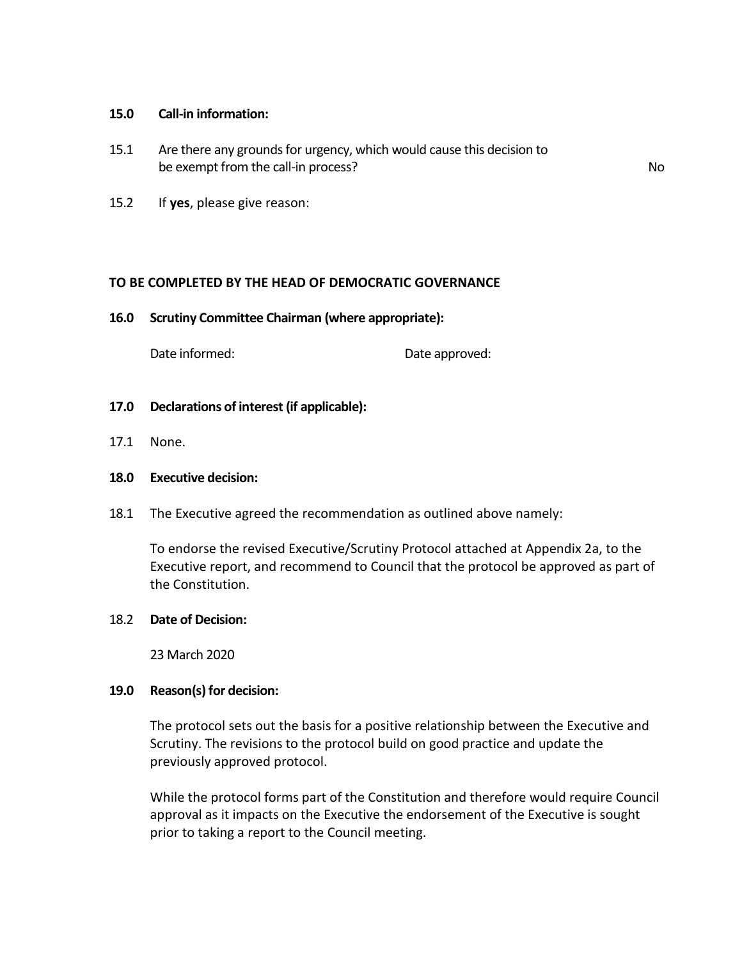#### **15.0 Call-in information:**

15.1 Are there any grounds for urgency, which would cause this decision to be exempt from the call-in process? No

15.2 If **yes**, please give reason:

#### **TO BE COMPLETED BY THE HEAD OF DEMOCRATIC GOVERNANCE**

**16.0 Scrutiny Committee Chairman (where appropriate):**

Date informed: Date approved:

- **17.0 Declarations of interest (if applicable):**
- 17.1 None.

#### **18.0 Executive decision:**

18.1 The Executive agreed the recommendation as outlined above namely:

To endorse the revised Executive/Scrutiny Protocol attached at Appendix 2a, to the Executive report, and recommend to Council that the protocol be approved as part of the Constitution.

### 18.2 **Date of Decision:**

23 March 2020

#### **19.0 Reason(s) for decision:**

The protocol sets out the basis for a positive relationship between the Executive and Scrutiny. The revisions to the protocol build on good practice and update the previously approved protocol.

While the protocol forms part of the Constitution and therefore would require Council approval as it impacts on the Executive the endorsement of the Executive is sought prior to taking a report to the Council meeting.